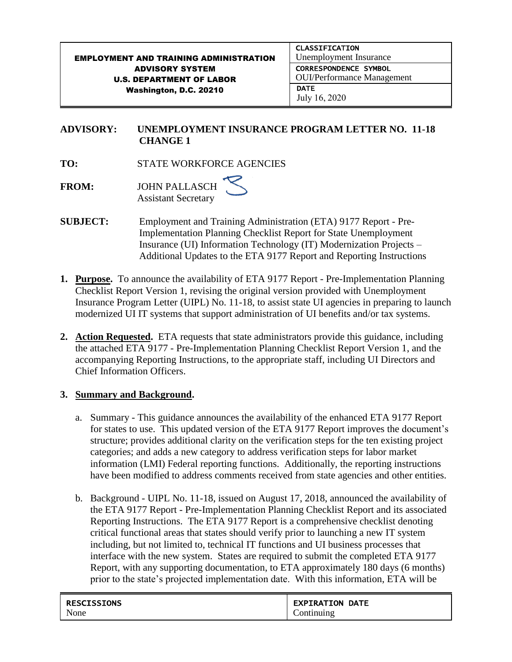#### EMPLOYMENT AND TRAINING ADMINISTRATION ADVISORY SYSTEM U.S. DEPARTMENT OF LABOR Washington, D.C. 20210 CLASSIFICATION Unemployment Insurance CORRESPONDENCE SYMBOL OUI/Performance Management **DATE** July 16, 2020

### **ADVISORY: UNEMPLOYMENT INSURANCE PROGRAM LETTER NO. 11-18 CHANGE 1**

**TO:** STATE WORKFORCE AGENCIES

**FROM:** JOHN PALLASCH Assistant Secretary

- **SUBJECT:** Employment and Training Administration (ETA) 9177 Report Pre-Implementation Planning Checklist Report for State Unemployment Insurance (UI) Information Technology (IT) Modernization Projects – Additional Updates to the ETA 9177 Report and Reporting Instructions
- **1. Purpose.** To announce the availability of ETA 9177 Report Pre-Implementation Planning Checklist Report Version 1, revising the original version provided with Unemployment Insurance Program Letter (UIPL) No. 11-18, to assist state UI agencies in preparing to launch modernized UI IT systems that support administration of UI benefits and/or tax systems.
- **2. Action Requested.** ETA requests that state administrators provide this guidance, including the attached ETA 9177 - Pre-Implementation Planning Checklist Report Version 1, and the accompanying Reporting Instructions, to the appropriate staff, including UI Directors and Chief Information Officers.

### **3. Summary and Background.**

- a. Summary This guidance announces the availability of the enhanced ETA 9177 Report for states to use. This updated version of the ETA 9177 Report improves the document's structure; provides additional clarity on the verification steps for the ten existing project categories; and adds a new category to address verification steps for labor market information (LMI) Federal reporting functions. Additionally, the reporting instructions have been modified to address comments received from state agencies and other entities.
- b. Background UIPL No. 11-18, issued on August 17, 2018, announced the availability of the ETA 9177 Report - Pre-Implementation Planning Checklist Report and its associated Reporting Instructions. The ETA 9177 Report is a comprehensive checklist denoting critical functional areas that states should verify prior to launching a new IT system including, but not limited to, technical IT functions and UI business processes that interface with the new system. States are required to submit the completed ETA 9177 Report, with any supporting documentation, to ETA approximately 180 days (6 months) prior to the state's projected implementation date. With this information, ETA will be

| <b>RESCISSIONS</b> | <b>EXPIRATION DATE</b> |
|--------------------|------------------------|
| None               | ontinuing              |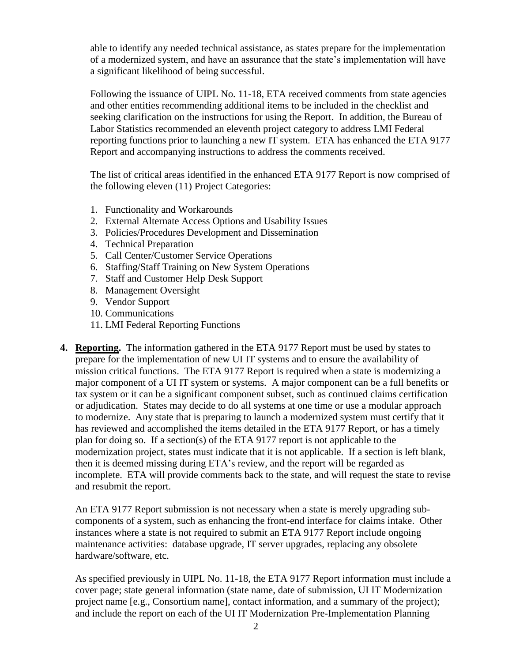able to identify any needed technical assistance, as states prepare for the implementation of a modernized system, and have an assurance that the state's implementation will have a significant likelihood of being successful.

Following the issuance of UIPL No. 11-18, ETA received comments from state agencies and other entities recommending additional items to be included in the checklist and seeking clarification on the instructions for using the Report. In addition, the Bureau of Labor Statistics recommended an eleventh project category to address LMI Federal reporting functions prior to launching a new IT system. ETA has enhanced the ETA 9177 Report and accompanying instructions to address the comments received.

The list of critical areas identified in the enhanced ETA 9177 Report is now comprised of the following eleven (11) Project Categories:

- 1. Functionality and Workarounds
- 2. External Alternate Access Options and Usability Issues
- 3. Policies/Procedures Development and Dissemination
- 4. Technical Preparation
- 5. Call Center/Customer Service Operations
- 6. Staffing/Staff Training on New System Operations
- 7. Staff and Customer Help Desk Support
- 8. Management Oversight
- 9. Vendor Support
- 10. Communications
- 11. LMI Federal Reporting Functions
- **4. Reporting.** The information gathered in the ETA 9177 Report must be used by states to prepare for the implementation of new UI IT systems and to ensure the availability of mission critical functions. The ETA 9177 Report is required when a state is modernizing a major component of a UI IT system or systems. A major component can be a full benefits or tax system or it can be a significant component subset, such as continued claims certification or adjudication. States may decide to do all systems at one time or use a modular approach to modernize. Any state that is preparing to launch a modernized system must certify that it has reviewed and accomplished the items detailed in the ETA 9177 Report, or has a timely plan for doing so. If a section(s) of the ETA 9177 report is not applicable to the modernization project, states must indicate that it is not applicable. If a section is left blank, then it is deemed missing during ETA's review, and the report will be regarded as incomplete. ETA will provide comments back to the state, and will request the state to revise and resubmit the report.

An ETA 9177 Report submission is not necessary when a state is merely upgrading subcomponents of a system, such as enhancing the front-end interface for claims intake. Other instances where a state is not required to submit an ETA 9177 Report include ongoing maintenance activities: database upgrade, IT server upgrades, replacing any obsolete hardware/software, etc.

As specified previously in UIPL No. 11-18, the ETA 9177 Report information must include a cover page; state general information (state name, date of submission, UI IT Modernization project name [e.g., Consortium name], contact information, and a summary of the project); and include the report on each of the UI IT Modernization Pre-Implementation Planning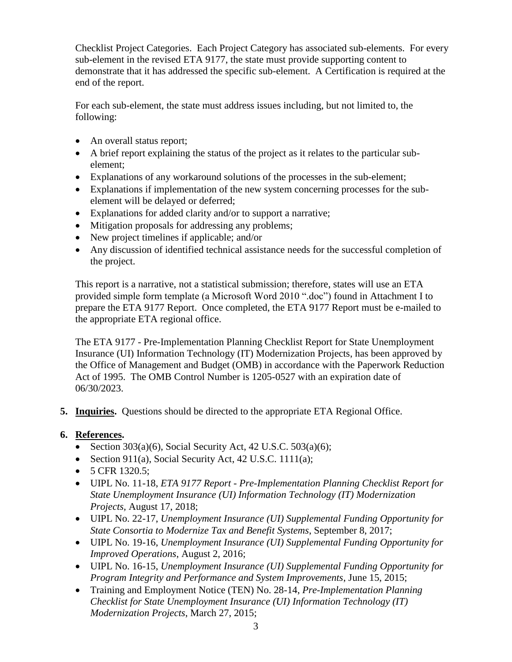Checklist Project Categories. Each Project Category has associated sub-elements. For every sub-element in the revised ETA 9177, the state must provide supporting content to demonstrate that it has addressed the specific sub-element. A Certification is required at the end of the report.

For each sub-element, the state must address issues including, but not limited to, the following:

- An overall status report;
- A brief report explaining the status of the project as it relates to the particular subelement;
- Explanations of any workaround solutions of the processes in the sub-element;
- Explanations if implementation of the new system concerning processes for the subelement will be delayed or deferred;
- Explanations for added clarity and/or to support a narrative;
- Mitigation proposals for addressing any problems;
- New project timelines if applicable; and/or
- Any discussion of identified technical assistance needs for the successful completion of the project.

This report is a narrative, not a statistical submission; therefore, states will use an ETA provided simple form template (a Microsoft Word 2010 ".doc") found in Attachment I to prepare the ETA 9177 Report. Once completed, the ETA 9177 Report must be e-mailed to the appropriate ETA regional office.

The ETA 9177 - Pre-Implementation Planning Checklist Report for State Unemployment Insurance (UI) Information Technology (IT) Modernization Projects, has been approved by the Office of Management and Budget (OMB) in accordance with the Paperwork Reduction Act of 1995. The OMB Control Number is 1205-0527 with an expiration date of 06/30/2023.

**5. Inquiries.** Questions should be directed to the appropriate ETA Regional Office.

### **6. References.**

- Section  $303(a)(6)$ , Social Security Act, 42 U.S.C.  $503(a)(6)$ ;
- Section 911(a), Social Security Act, 42 U.S.C. 1111(a);
- $\bullet$  5 CFR 1320.5;
- UIPL No. 11-18, *ETA 9177 Report - Pre-Implementation Planning Checklist Report for State Unemployment Insurance (UI) Information Technology (IT) Modernization Projects,* August 17, 2018;
- UIPL No. 22-17, *Unemployment Insurance (UI) Supplemental Funding Opportunity for State Consortia to Modernize Tax and Benefit Systems*, September 8, 2017;
- UIPL No. 19-16, *Unemployment Insurance (UI) Supplemental Funding Opportunity for Improved Operations*, August 2, 2016;
- UIPL No. 16-15, *Unemployment Insurance (UI) Supplemental Funding Opportunity for Program Integrity and Performance and System Improvements*, June 15, 2015;
- Training and Employment Notice (TEN) No. 28-14, *Pre-Implementation Planning Checklist for State Unemployment Insurance (UI) Information Technology (IT) Modernization Projects*, March 27, 2015;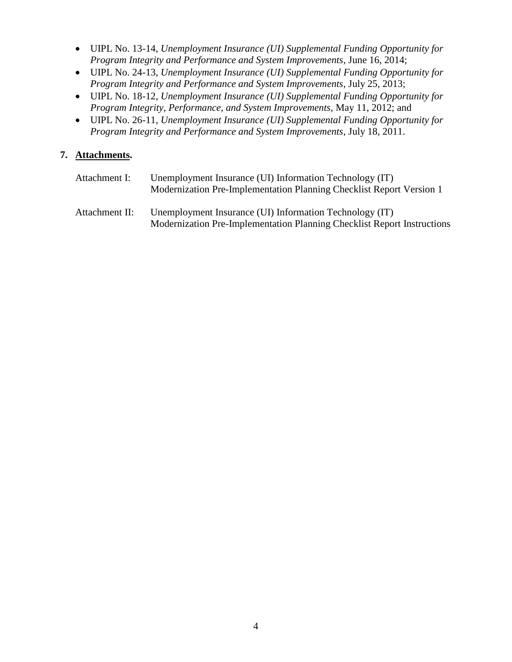- UIPL No. 13-14, *Unemployment Insurance (UI) Supplemental Funding Opportunity for Program Integrity and Performance and System Improvements*, June 16, 2014;
- UIPL No. 24-13, *Unemployment Insurance (UI) Supplemental Funding Opportunity for Program Integrity and Performance and System Improvements*, July 25, 2013;
- UIPL No. 18-12, *Unemployment Insurance (UI) Supplemental Funding Opportunity for Program Integrity, Performance, and System Improvements*, May 11, 2012; and
- UIPL No. 26-11, *Unemployment Insurance (UI) Supplemental Funding Opportunity for Program Integrity and Performance and System Improvements*, July 18, 2011.

### **7. Attachments.**

| Attachment I:  | Unemployment Insurance (UI) Information Technology (IT)<br>Modernization Pre-Implementation Planning Checklist Report Version 1    |
|----------------|------------------------------------------------------------------------------------------------------------------------------------|
| Attachment II: | Unemployment Insurance (UI) Information Technology (IT)<br>Modernization Pre-Implementation Planning Checklist Report Instructions |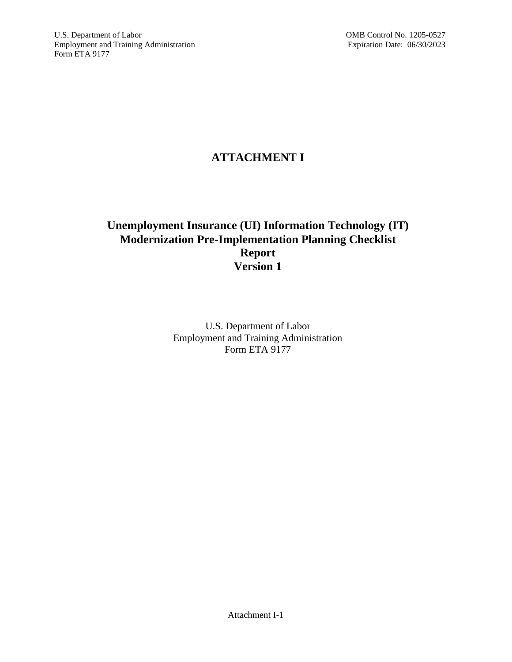# **ATTACHMENT I**

## **Unemployment Insurance (UI) Information Technology (IT) Modernization Pre-Implementation Planning Checklist Report Version 1**

U.S. Department of Labor Employment and Training Administration Form ETA 9177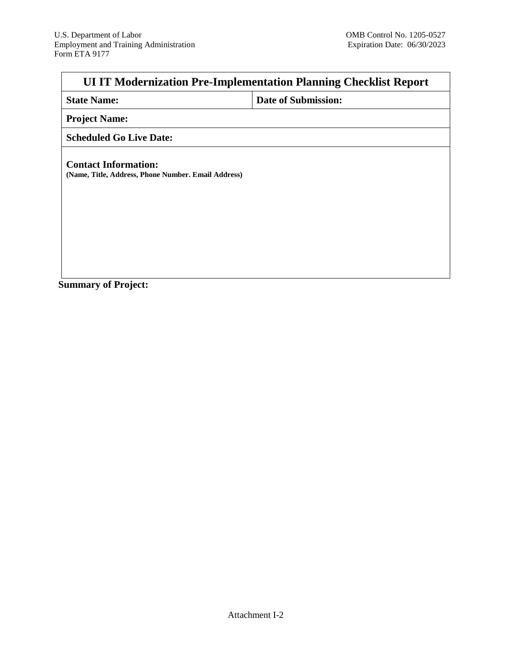# **UI IT Modernization Pre-Implementation Planning Checklist Report**

| <b>State Name:</b> |  |
|--------------------|--|
|                    |  |

**Date of Submission:** 

**Project Name:**

### **Scheduled Go Live Date:**

**Contact Information: (Name, Title, Address, Phone Number. Email Address)**

**Summary of Project:**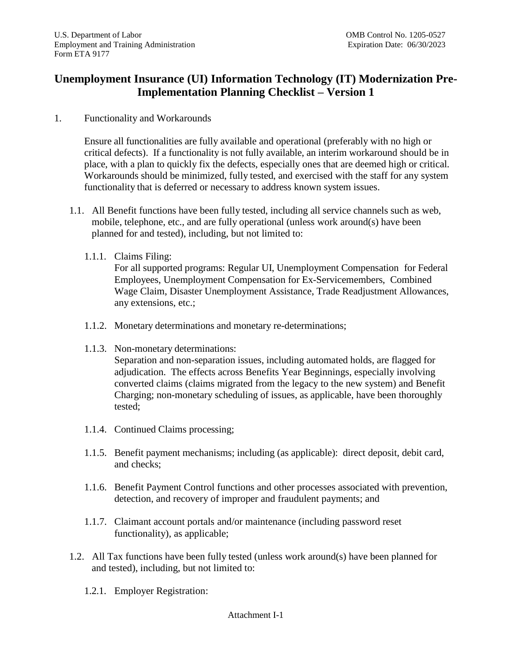## **Unemployment Insurance (UI) Information Technology (IT) Modernization Pre-Implementation Planning Checklist – Version 1**

1. Functionality and Workarounds

Ensure all functionalities are fully available and operational (preferably with no high or critical defects). If a functionality is not fully available, an interim workaround should be in place, with a plan to quickly fix the defects, especially ones that are deemed high or critical. Workarounds should be minimized, fully tested, and exercised with the staff for any system functionality that is deferred or necessary to address known system issues.

- 1.1. All Benefit functions have been fully tested, including all service channels such as web, mobile, telephone, etc., and are fully operational (unless work around(s) have been planned for and tested), including, but not limited to:
	- 1.1.1. Claims Filing:

For all supported programs: Regular UI, Unemployment Compensation for Federal Employees, Unemployment Compensation for Ex-Servicemembers, Combined Wage Claim, Disaster Unemployment Assistance, Trade Readjustment Allowances, any extensions, etc.;

- 1.1.2. Monetary determinations and monetary re-determinations;
- 1.1.3. Non-monetary determinations: Separation and non-separation issues, including automated holds, are flagged for adjudication. The effects across Benefits Year Beginnings, especially involving converted claims (claims migrated from the legacy to the new system) and Benefit Charging; non-monetary scheduling of issues, as applicable, have been thoroughly tested;
- 1.1.4. Continued Claims processing;
- 1.1.5. Benefit payment mechanisms; including (as applicable): direct deposit, debit card, and checks;
- 1.1.6. Benefit Payment Control functions and other processes associated with prevention, detection, and recovery of improper and fraudulent payments; and
- 1.1.7. Claimant account portals and/or maintenance (including password reset functionality), as applicable;
- 1.2. All Tax functions have been fully tested (unless work around(s) have been planned for and tested), including, but not limited to:
	- 1.2.1. Employer Registration: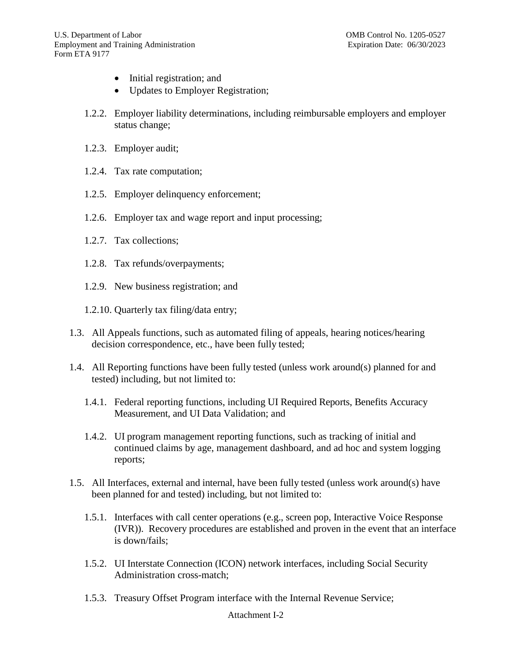- Initial registration; and
- Updates to Employer Registration;
- 1.2.2. Employer liability determinations, including reimbursable employers and employer status change;
- 1.2.3. Employer audit;
- 1.2.4. Tax rate computation;
- 1.2.5. Employer delinquency enforcement;
- 1.2.6. Employer tax and wage report and input processing;
- 1.2.7. Tax collections;
- 1.2.8. Tax refunds/overpayments;
- 1.2.9. New business registration; and
- 1.2.10. Quarterly tax filing/data entry;
- 1.3. All Appeals functions, such as automated filing of appeals, hearing notices/hearing decision correspondence, etc., have been fully tested;
- 1.4. All Reporting functions have been fully tested (unless work around(s) planned for and tested) including, but not limited to:
	- 1.4.1. Federal reporting functions, including UI Required Reports, Benefits Accuracy Measurement, and UI Data Validation; and
	- 1.4.2. UI program management reporting functions, such as tracking of initial and continued claims by age, management dashboard, and ad hoc and system logging reports;
- 1.5. All Interfaces, external and internal, have been fully tested (unless work around(s) have been planned for and tested) including, but not limited to:
	- 1.5.1. Interfaces with call center operations (e.g., screen pop, Interactive Voice Response (IVR)). Recovery procedures are established and proven in the event that an interface is down/fails;
	- 1.5.2. UI Interstate Connection (ICON) network interfaces, including Social Security Administration cross-match;
	- 1.5.3. Treasury Offset Program interface with the Internal Revenue Service;

#### Attachment I-2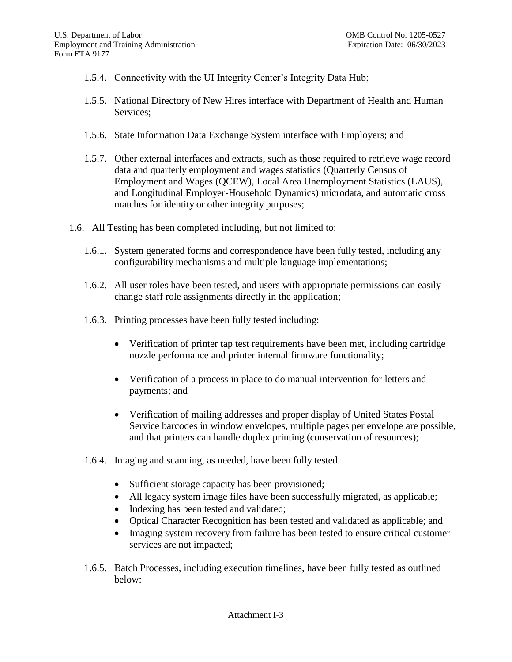- 1.5.4. Connectivity with the UI Integrity Center's Integrity Data Hub;
- 1.5.5. National Directory of New Hires interface with Department of Health and Human Services;
- 1.5.6. State Information Data Exchange System interface with Employers; and
- 1.5.7. Other external interfaces and extracts, such as those required to retrieve wage record data and quarterly employment and wages statistics (Quarterly Census of Employment and Wages (QCEW), Local Area Unemployment Statistics (LAUS), and Longitudinal Employer-Household Dynamics) microdata, and automatic cross matches for identity or other integrity purposes;
- 1.6. All Testing has been completed including, but not limited to:
	- 1.6.1. System generated forms and correspondence have been fully tested, including any configurability mechanisms and multiple language implementations;
	- 1.6.2. All user roles have been tested, and users with appropriate permissions can easily change staff role assignments directly in the application;
	- 1.6.3. Printing processes have been fully tested including:
		- Verification of printer tap test requirements have been met, including cartridge nozzle performance and printer internal firmware functionality;
		- Verification of a process in place to do manual intervention for letters and payments; and
		- Verification of mailing addresses and proper display of United States Postal Service barcodes in window envelopes, multiple pages per envelope are possible, and that printers can handle duplex printing (conservation of resources);
	- 1.6.4. Imaging and scanning, as needed, have been fully tested.
		- Sufficient storage capacity has been provisioned;
		- All legacy system image files have been successfully migrated, as applicable;
		- Indexing has been tested and validated;
		- Optical Character Recognition has been tested and validated as applicable; and
		- Imaging system recovery from failure has been tested to ensure critical customer services are not impacted;
	- 1.6.5. Batch Processes, including execution timelines, have been fully tested as outlined below: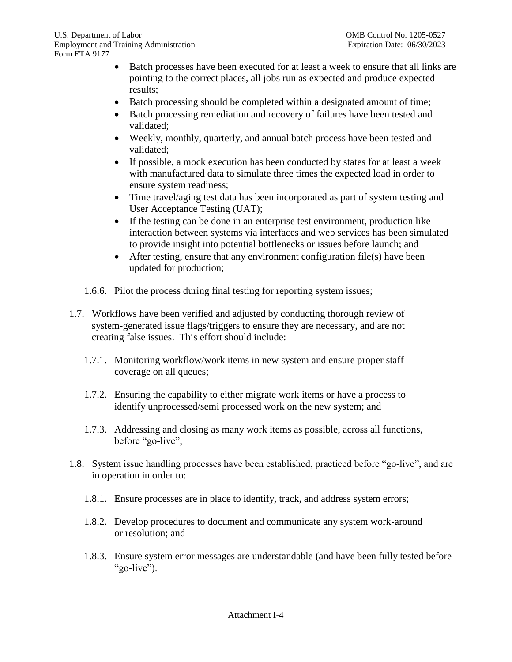- Batch processes have been executed for at least a week to ensure that all links are pointing to the correct places, all jobs run as expected and produce expected results;
- Batch processing should be completed within a designated amount of time;
- Batch processing remediation and recovery of failures have been tested and validated;
- Weekly, monthly, quarterly, and annual batch process have been tested and validated;
- If possible, a mock execution has been conducted by states for at least a week with manufactured data to simulate three times the expected load in order to ensure system readiness;
- Time travel/aging test data has been incorporated as part of system testing and User Acceptance Testing (UAT);
- If the testing can be done in an enterprise test environment, production like interaction between systems via interfaces and web services has been simulated to provide insight into potential bottlenecks or issues before launch; and
- After testing, ensure that any environment configuration file(s) have been updated for production;
- 1.6.6. Pilot the process during final testing for reporting system issues;
- 1.7. Workflows have been verified and adjusted by conducting thorough review of system-generated issue flags/triggers to ensure they are necessary, and are not creating false issues. This effort should include:
	- 1.7.1. Monitoring workflow/work items in new system and ensure proper staff coverage on all queues;
	- 1.7.2. Ensuring the capability to either migrate work items or have a process to identify unprocessed/semi processed work on the new system; and
	- 1.7.3. Addressing and closing as many work items as possible, across all functions, before "go-live";
- 1.8. System issue handling processes have been established, practiced before "go-live", and are in operation in order to:
	- 1.8.1. Ensure processes are in place to identify, track, and address system errors;
	- 1.8.2. Develop procedures to document and communicate any system work-around or resolution; and
	- 1.8.3. Ensure system error messages are understandable (and have been fully tested before "go-live").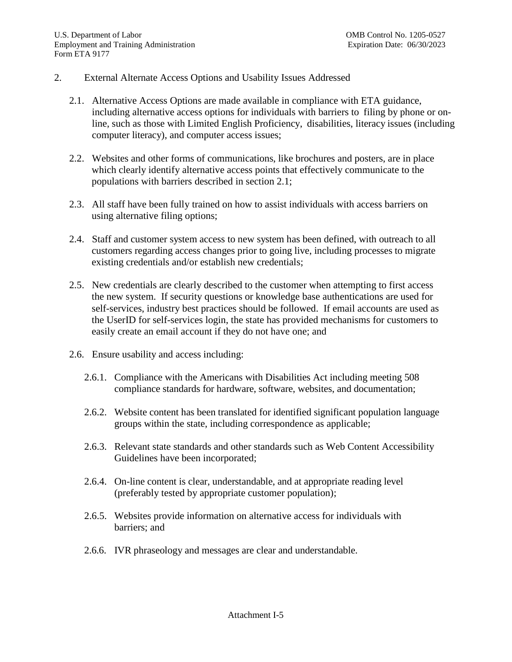### 2. External Alternate Access Options and Usability Issues Addressed

- 2.1. Alternative Access Options are made available in compliance with ETA guidance, including alternative access options for individuals with barriers to filing by phone or online, such as those with Limited English Proficiency, disabilities, literacy issues (including computer literacy), and computer access issues;
- 2.2. Websites and other forms of communications, like brochures and posters, are in place which clearly identify alternative access points that effectively communicate to the populations with barriers described in section 2.1;
- 2.3. All staff have been fully trained on how to assist individuals with access barriers on using alternative filing options;
- 2.4. Staff and customer system access to new system has been defined, with outreach to all customers regarding access changes prior to going live, including processes to migrate existing credentials and/or establish new credentials;
- 2.5. New credentials are clearly described to the customer when attempting to first access the new system. If security questions or knowledge base authentications are used for self-services, industry best practices should be followed. If email accounts are used as the UserID for self-services login, the state has provided mechanisms for customers to easily create an email account if they do not have one; and
- 2.6. Ensure usability and access including:
	- 2.6.1. Compliance with the Americans with Disabilities Act including meeting 508 compliance standards for hardware, software, websites, and documentation;
	- 2.6.2. Website content has been translated for identified significant population language groups within the state, including correspondence as applicable;
	- 2.6.3. Relevant state standards and other standards such as Web Content Accessibility Guidelines have been incorporated;
	- 2.6.4. On-line content is clear, understandable, and at appropriate reading level (preferably tested by appropriate customer population);
	- 2.6.5. Websites provide information on alternative access for individuals with barriers; and
	- 2.6.6. IVR phraseology and messages are clear and understandable.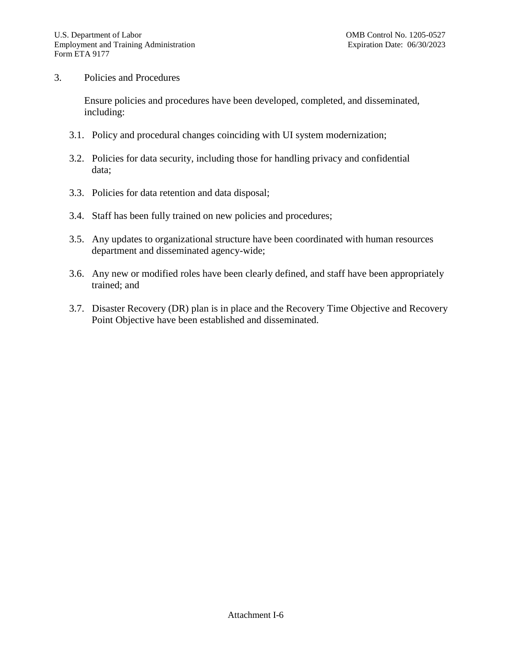### 3. Policies and Procedures

Ensure policies and procedures have been developed, completed, and disseminated, including:

- 3.1. Policy and procedural changes coinciding with UI system modernization;
- 3.2. Policies for data security, including those for handling privacy and confidential data;
- 3.3. Policies for data retention and data disposal;
- 3.4. Staff has been fully trained on new policies and procedures;
- 3.5. Any updates to organizational structure have been coordinated with human resources department and disseminated agency-wide;
- 3.6. Any new or modified roles have been clearly defined, and staff have been appropriately trained; and
- 3.7. Disaster Recovery (DR) plan is in place and the Recovery Time Objective and Recovery Point Objective have been established and disseminated.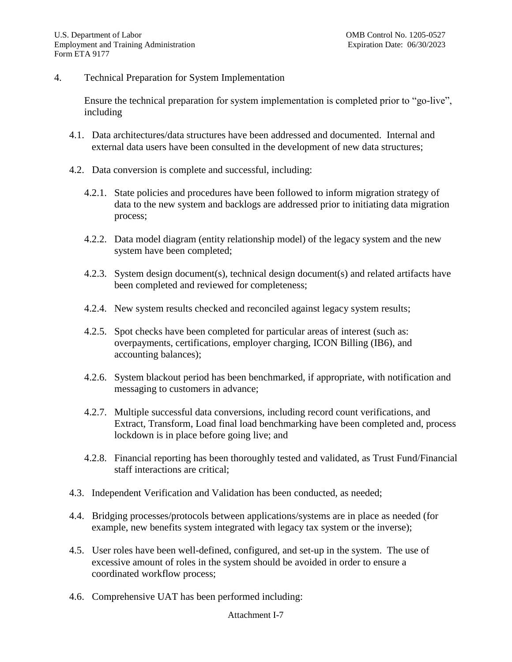### 4. Technical Preparation for System Implementation

Ensure the technical preparation for system implementation is completed prior to "go-live", including

- 4.1. Data architectures/data structures have been addressed and documented. Internal and external data users have been consulted in the development of new data structures;
- 4.2. Data conversion is complete and successful, including:
	- 4.2.1. State policies and procedures have been followed to inform migration strategy of data to the new system and backlogs are addressed prior to initiating data migration process;
	- 4.2.2. Data model diagram (entity relationship model) of the legacy system and the new system have been completed;
	- 4.2.3. System design document(s), technical design document(s) and related artifacts have been completed and reviewed for completeness;
	- 4.2.4. New system results checked and reconciled against legacy system results;
	- 4.2.5. Spot checks have been completed for particular areas of interest (such as: overpayments, certifications, employer charging, ICON Billing (IB6), and accounting balances);
	- 4.2.6. System blackout period has been benchmarked, if appropriate, with notification and messaging to customers in advance;
	- 4.2.7. Multiple successful data conversions, including record count verifications, and Extract, Transform, Load final load benchmarking have been completed and, process lockdown is in place before going live; and
	- 4.2.8. Financial reporting has been thoroughly tested and validated, as Trust Fund/Financial staff interactions are critical;
- 4.3. Independent Verification and Validation has been conducted, as needed;
- 4.4. Bridging processes/protocols between applications/systems are in place as needed (for example, new benefits system integrated with legacy tax system or the inverse);
- 4.5. User roles have been well-defined, configured, and set-up in the system. The use of excessive amount of roles in the system should be avoided in order to ensure a coordinated workflow process;
- 4.6. Comprehensive UAT has been performed including: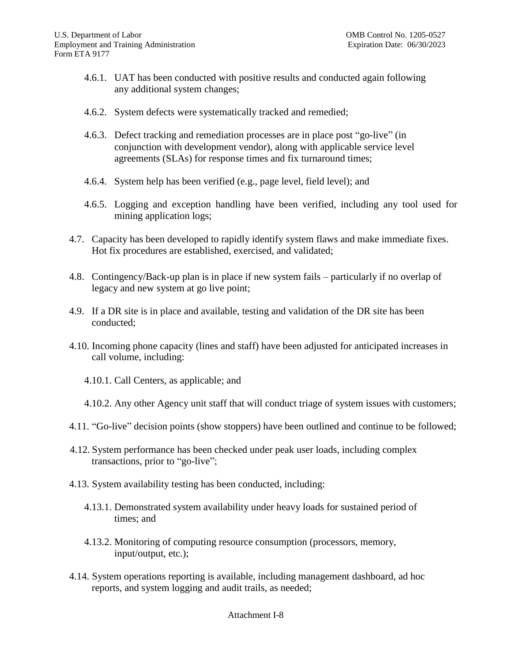- 4.6.1. UAT has been conducted with positive results and conducted again following any additional system changes;
- 4.6.2. System defects were systematically tracked and remedied;
- 4.6.3. Defect tracking and remediation processes are in place post "go-live" (in conjunction with development vendor), along with applicable service level agreements (SLAs) for response times and fix turnaround times;
- 4.6.4. System help has been verified (e.g., page level, field level); and
- 4.6.5. Logging and exception handling have been verified, including any tool used for mining application logs;
- 4.7. Capacity has been developed to rapidly identify system flaws and make immediate fixes. Hot fix procedures are established, exercised, and validated;
- 4.8. Contingency/Back-up plan is in place if new system fails particularly if no overlap of legacy and new system at go live point;
- 4.9. If a DR site is in place and available, testing and validation of the DR site has been conducted;
- 4.10. Incoming phone capacity (lines and staff) have been adjusted for anticipated increases in call volume, including:
	- 4.10.1. Call Centers, as applicable; and
	- 4.10.2. Any other Agency unit staff that will conduct triage of system issues with customers;
- 4.11. "Go-live" decision points (show stoppers) have been outlined and continue to be followed;
- 4.12. System performance has been checked under peak user loads, including complex transactions, prior to "go-live";
- 4.13. System availability testing has been conducted, including:
	- 4.13.1. Demonstrated system availability under heavy loads for sustained period of times; and
	- 4.13.2. Monitoring of computing resource consumption (processors, memory, input/output, etc.);
- 4.14. System operations reporting is available, including management dashboard, ad hoc reports, and system logging and audit trails, as needed;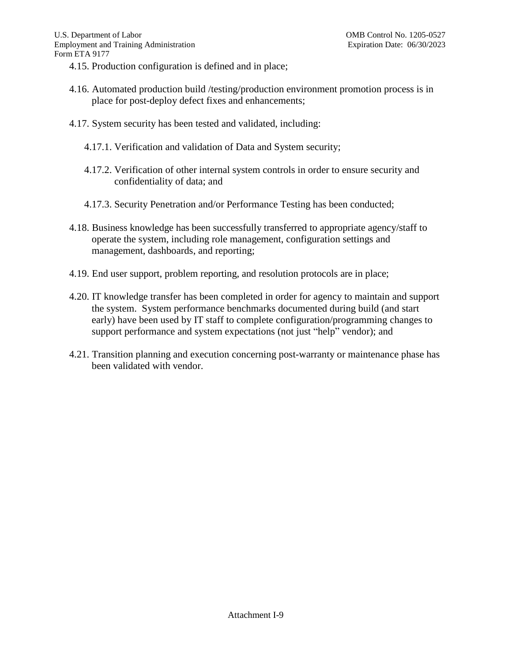- 4.15. Production configuration is defined and in place;
- 4.16. Automated production build /testing/production environment promotion process is in place for post-deploy defect fixes and enhancements;
- 4.17. System security has been tested and validated, including:
	- 4.17.1. Verification and validation of Data and System security;
	- 4.17.2. Verification of other internal system controls in order to ensure security and confidentiality of data; and
	- 4.17.3. Security Penetration and/or Performance Testing has been conducted;
- 4.18. Business knowledge has been successfully transferred to appropriate agency/staff to operate the system, including role management, configuration settings and management, dashboards, and reporting;
- 4.19. End user support, problem reporting, and resolution protocols are in place;
- 4.20. IT knowledge transfer has been completed in order for agency to maintain and support the system. System performance benchmarks documented during build (and start early) have been used by IT staff to complete configuration/programming changes to support performance and system expectations (not just "help" vendor); and
- 4.21. Transition planning and execution concerning post-warranty or maintenance phase has been validated with vendor.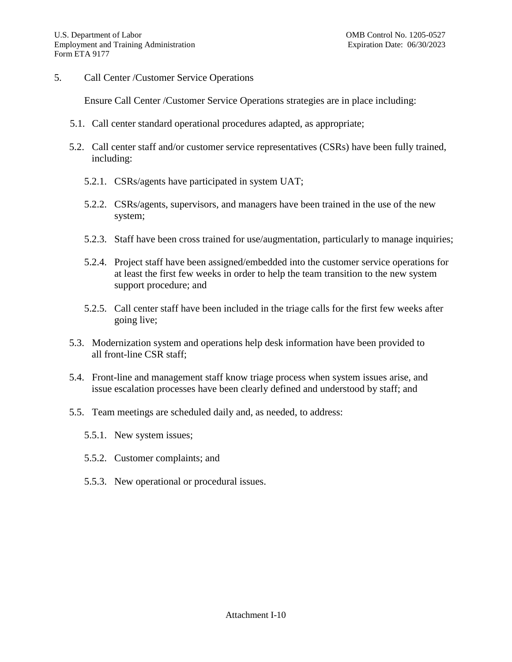5. Call Center /Customer Service Operations

Ensure Call Center /Customer Service Operations strategies are in place including:

- 5.1. Call center standard operational procedures adapted, as appropriate;
- 5.2. Call center staff and/or customer service representatives (CSRs) have been fully trained, including:
	- 5.2.1. CSRs/agents have participated in system UAT;
	- 5.2.2. CSRs/agents, supervisors, and managers have been trained in the use of the new system;
	- 5.2.3. Staff have been cross trained for use/augmentation, particularly to manage inquiries;
	- 5.2.4. Project staff have been assigned/embedded into the customer service operations for at least the first few weeks in order to help the team transition to the new system support procedure; and
	- 5.2.5. Call center staff have been included in the triage calls for the first few weeks after going live;
- 5.3. Modernization system and operations help desk information have been provided to all front-line CSR staff;
- 5.4. Front-line and management staff know triage process when system issues arise, and issue escalation processes have been clearly defined and understood by staff; and
- 5.5. Team meetings are scheduled daily and, as needed, to address:
	- 5.5.1. New system issues;
	- 5.5.2. Customer complaints; and
	- 5.5.3. New operational or procedural issues.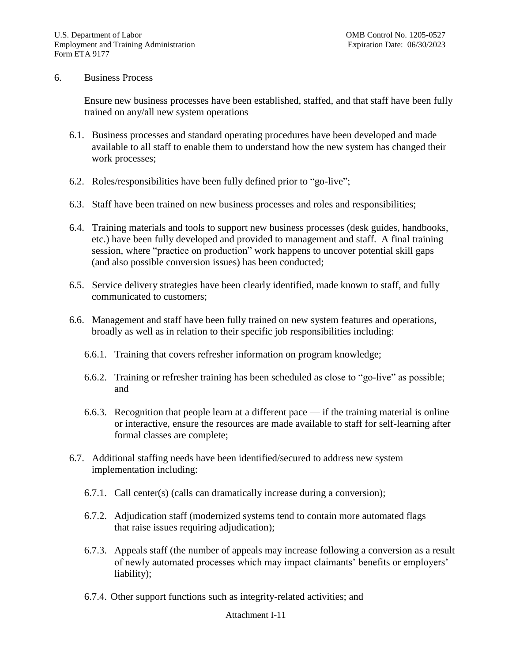### 6. Business Process

Ensure new business processes have been established, staffed, and that staff have been fully trained on any/all new system operations

- 6.1. Business processes and standard operating procedures have been developed and made available to all staff to enable them to understand how the new system has changed their work processes;
- 6.2. Roles/responsibilities have been fully defined prior to "go-live";
- 6.3. Staff have been trained on new business processes and roles and responsibilities;
- 6.4. Training materials and tools to support new business processes (desk guides, handbooks, etc.) have been fully developed and provided to management and staff. A final training session, where "practice on production" work happens to uncover potential skill gaps (and also possible conversion issues) has been conducted;
- 6.5. Service delivery strategies have been clearly identified, made known to staff, and fully communicated to customers;
- 6.6. Management and staff have been fully trained on new system features and operations, broadly as well as in relation to their specific job responsibilities including:
	- 6.6.1. Training that covers refresher information on program knowledge;
	- 6.6.2. Training or refresher training has been scheduled as close to "go-live" as possible; and
	- 6.6.3. Recognition that people learn at a different pace if the training material is online or interactive, ensure the resources are made available to staff for self-learning after formal classes are complete;
- 6.7. Additional staffing needs have been identified/secured to address new system implementation including:
	- 6.7.1. Call center(s) (calls can dramatically increase during a conversion);
	- 6.7.2. Adjudication staff (modernized systems tend to contain more automated flags that raise issues requiring adjudication);
	- 6.7.3. Appeals staff (the number of appeals may increase following a conversion as a result of newly automated processes which may impact claimants' benefits or employers' liability);
	- 6.7.4. Other support functions such as integrity-related activities; and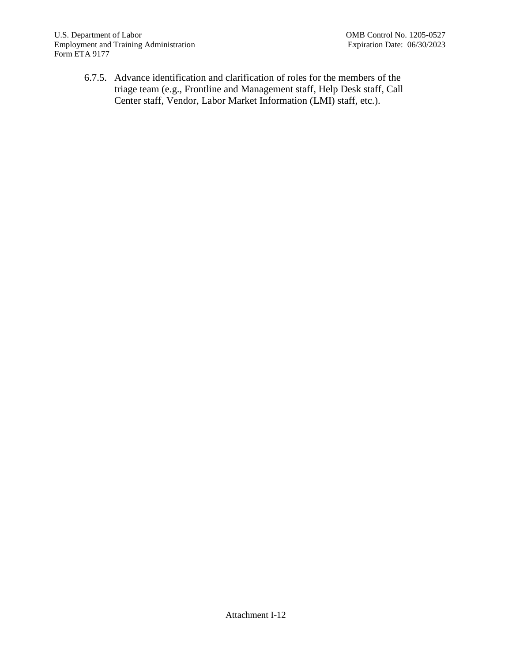6.7.5. Advance identification and clarification of roles for the members of the triage team (e.g., Frontline and Management staff, Help Desk staff, Call Center staff, Vendor, Labor Market Information (LMI) staff, etc.).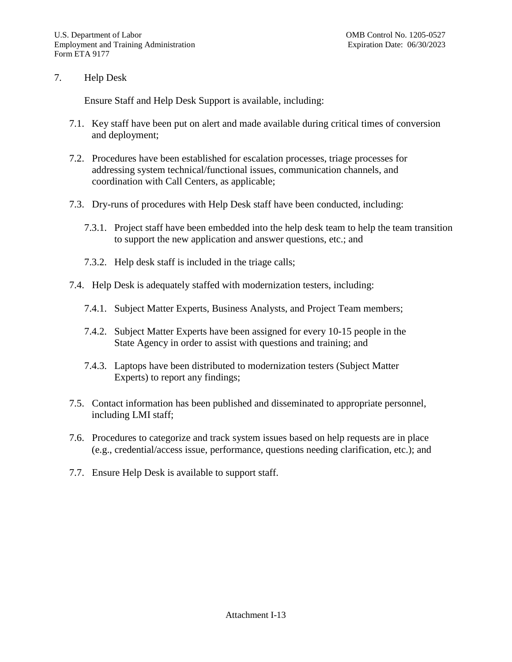### 7. Help Desk

Ensure Staff and Help Desk Support is available, including:

- 7.1. Key staff have been put on alert and made available during critical times of conversion and deployment;
- 7.2. Procedures have been established for escalation processes, triage processes for addressing system technical/functional issues, communication channels, and coordination with Call Centers, as applicable;
- 7.3. Dry-runs of procedures with Help Desk staff have been conducted, including:
	- 7.3.1. Project staff have been embedded into the help desk team to help the team transition to support the new application and answer questions, etc.; and
	- 7.3.2. Help desk staff is included in the triage calls;
- 7.4. Help Desk is adequately staffed with modernization testers, including:
	- 7.4.1. Subject Matter Experts, Business Analysts, and Project Team members;
	- 7.4.2. Subject Matter Experts have been assigned for every 10-15 people in the State Agency in order to assist with questions and training; and
	- 7.4.3. Laptops have been distributed to modernization testers (Subject Matter Experts) to report any findings;
- 7.5. Contact information has been published and disseminated to appropriate personnel, including LMI staff;
- 7.6. Procedures to categorize and track system issues based on help requests are in place (e.g., credential/access issue, performance, questions needing clarification, etc.); and
- 7.7. Ensure Help Desk is available to support staff.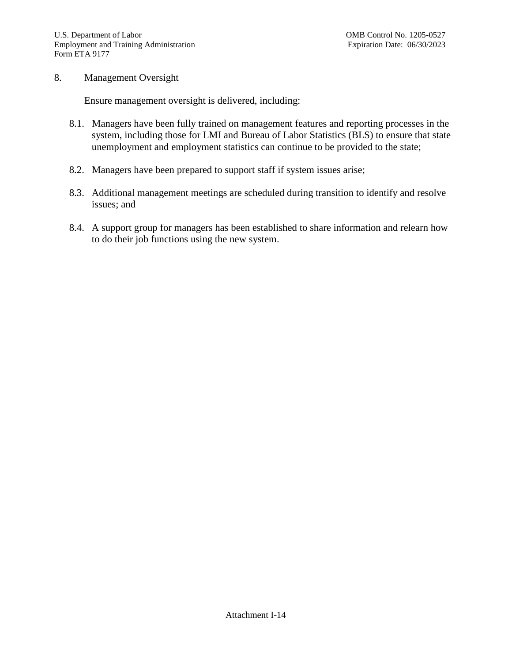### 8. Management Oversight

Ensure management oversight is delivered, including:

- 8.1. Managers have been fully trained on management features and reporting processes in the system, including those for LMI and Bureau of Labor Statistics (BLS) to ensure that state unemployment and employment statistics can continue to be provided to the state;
- 8.2. Managers have been prepared to support staff if system issues arise;
- 8.3. Additional management meetings are scheduled during transition to identify and resolve issues; and
- 8.4. A support group for managers has been established to share information and relearn how to do their job functions using the new system.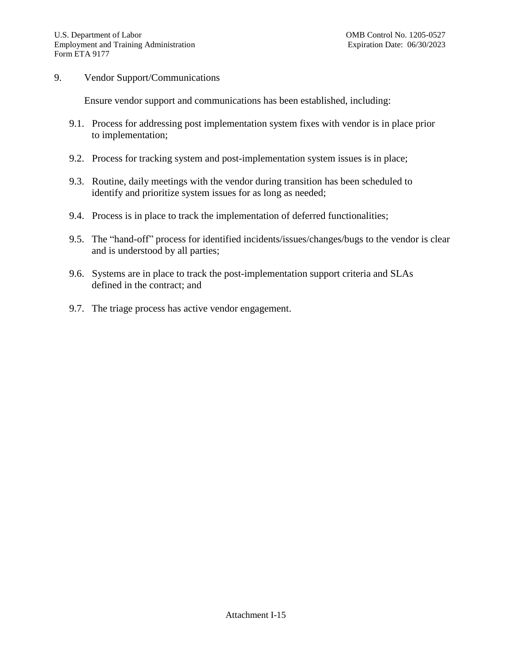### 9. Vendor Support/Communications

Ensure vendor support and communications has been established, including:

- 9.1. Process for addressing post implementation system fixes with vendor is in place prior to implementation;
- 9.2. Process for tracking system and post-implementation system issues is in place;
- 9.3. Routine, daily meetings with the vendor during transition has been scheduled to identify and prioritize system issues for as long as needed;
- 9.4. Process is in place to track the implementation of deferred functionalities;
- 9.5. The "hand-off" process for identified incidents/issues/changes/bugs to the vendor is clear and is understood by all parties;
- 9.6. Systems are in place to track the post-implementation support criteria and SLAs defined in the contract; and
- 9.7. The triage process has active vendor engagement.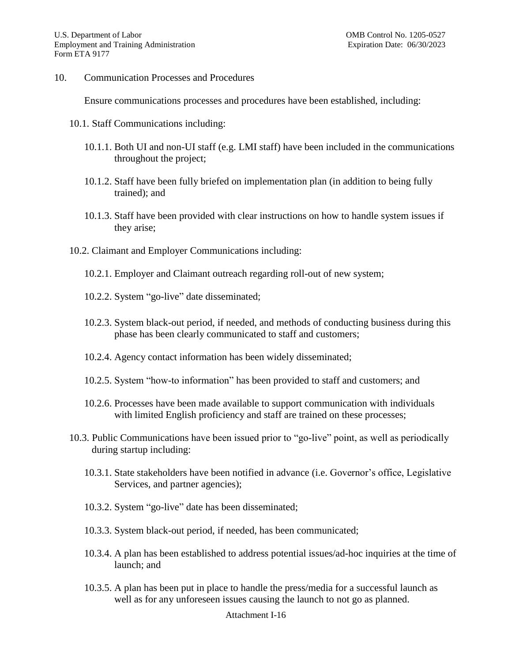10. Communication Processes and Procedures

Ensure communications processes and procedures have been established, including:

- 10.1. Staff Communications including:
	- 10.1.1. Both UI and non-UI staff (e.g. LMI staff) have been included in the communications throughout the project;
	- 10.1.2. Staff have been fully briefed on implementation plan (in addition to being fully trained); and
	- 10.1.3. Staff have been provided with clear instructions on how to handle system issues if they arise;
- 10.2. Claimant and Employer Communications including:
	- 10.2.1. Employer and Claimant outreach regarding roll-out of new system;
	- 10.2.2. System "go-live" date disseminated;
	- 10.2.3. System black-out period, if needed, and methods of conducting business during this phase has been clearly communicated to staff and customers;
	- 10.2.4. Agency contact information has been widely disseminated;
	- 10.2.5. System "how-to information" has been provided to staff and customers; and
	- 10.2.6. Processes have been made available to support communication with individuals with limited English proficiency and staff are trained on these processes;
- 10.3. Public Communications have been issued prior to "go-live" point, as well as periodically during startup including:
	- 10.3.1. State stakeholders have been notified in advance (i.e. Governor's office, Legislative Services, and partner agencies);
	- 10.3.2. System "go-live" date has been disseminated;
	- 10.3.3. System black-out period, if needed, has been communicated;
	- 10.3.4. A plan has been established to address potential issues/ad-hoc inquiries at the time of launch; and
	- 10.3.5. A plan has been put in place to handle the press/media for a successful launch as well as for any unforeseen issues causing the launch to not go as planned.

#### Attachment I-16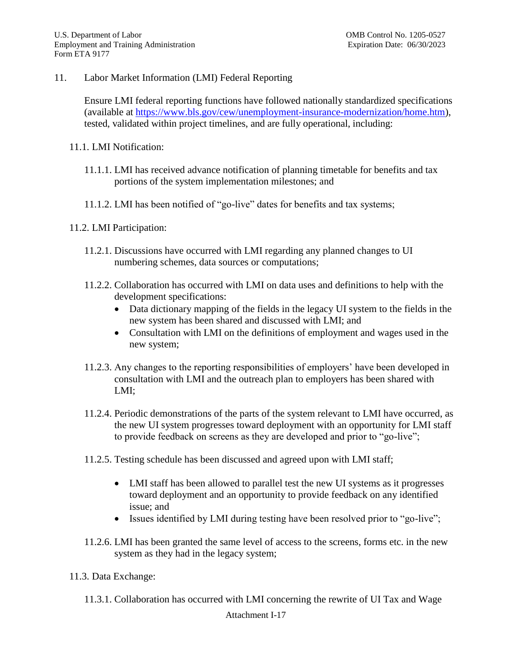11. Labor Market Information (LMI) Federal Reporting

Ensure LMI federal reporting functions have followed nationally standardized specifications (available at [https://www.bls.gov/cew/unemployment-insurance-modernization/home.htm\)](https://www.bls.gov/cew/unemployment-insurance-modernization/home.htm), tested, validated within project timelines, and are fully operational, including:

- 11.1. LMI Notification:
	- 11.1.1. LMI has received advance notification of planning timetable for benefits and tax portions of the system implementation milestones; and
	- 11.1.2. LMI has been notified of "go-live" dates for benefits and tax systems;
- 11.2. LMI Participation:
	- 11.2.1. Discussions have occurred with LMI regarding any planned changes to UI numbering schemes, data sources or computations;
	- 11.2.2. Collaboration has occurred with LMI on data uses and definitions to help with the development specifications:
		- Data dictionary mapping of the fields in the legacy UI system to the fields in the new system has been shared and discussed with LMI; and
		- Consultation with LMI on the definitions of employment and wages used in the new system;
	- 11.2.3. Any changes to the reporting responsibilities of employers' have been developed in consultation with LMI and the outreach plan to employers has been shared with LMI;
	- 11.2.4. Periodic demonstrations of the parts of the system relevant to LMI have occurred, as the new UI system progresses toward deployment with an opportunity for LMI staff to provide feedback on screens as they are developed and prior to "go-live";
	- 11.2.5. Testing schedule has been discussed and agreed upon with LMI staff;
		- LMI staff has been allowed to parallel test the new UI systems as it progresses toward deployment and an opportunity to provide feedback on any identified issue; and
		- Issues identified by LMI during testing have been resolved prior to "go-live";
	- 11.2.6. LMI has been granted the same level of access to the screens, forms etc. in the new system as they had in the legacy system;
- 11.3. Data Exchange:
	- 11.3.1. Collaboration has occurred with LMI concerning the rewrite of UI Tax and Wage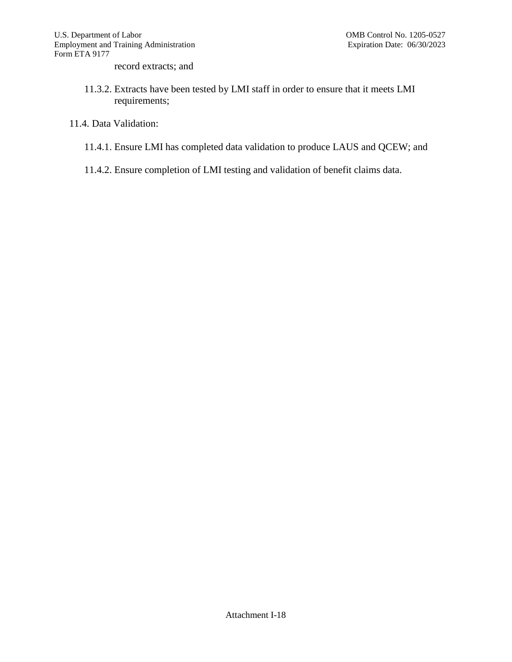record extracts; and

- 11.3.2. Extracts have been tested by LMI staff in order to ensure that it meets LMI requirements;
- 11.4. Data Validation:
	- 11.4.1. Ensure LMI has completed data validation to produce LAUS and QCEW; and
	- 11.4.2. Ensure completion of LMI testing and validation of benefit claims data.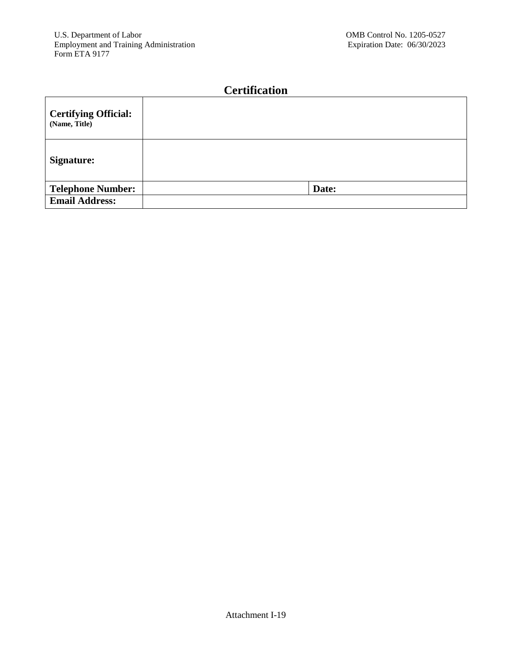# **Certification**

| <b>Certifying Official:</b><br>(Name, Title) |       |
|----------------------------------------------|-------|
| Signature:                                   |       |
| <b>Telephone Number:</b>                     | Date: |
| <b>Email Address:</b>                        |       |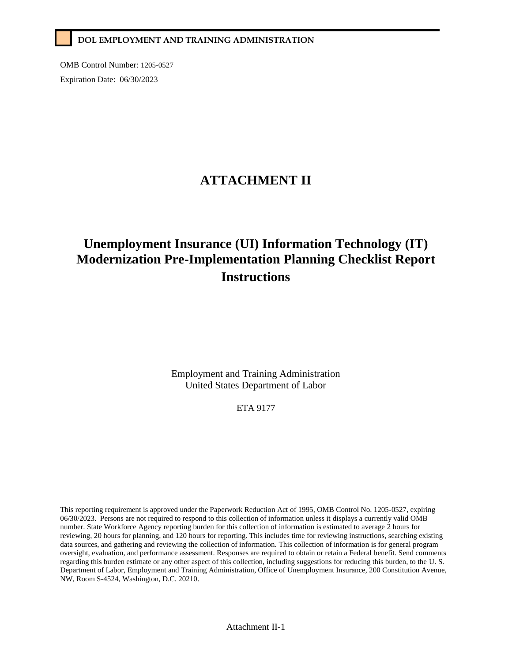### **DOL EMPLOYMENT AND TRAINING ADMINISTRATION**

OMB Control Number: 1205-0527 Expiration Date: 06/30/2023

# **ATTACHMENT II**

# **Unemployment Insurance (UI) Information Technology (IT) Modernization Pre-Implementation Planning Checklist Report Instructions**

Employment and Training Administration United States Department of Labor

ETA 9177

This reporting requirement is approved under the Paperwork Reduction Act of 1995, OMB Control No. 1205-0527, expiring 06/30/2023. Persons are not required to respond to this collection of information unless it displays a currently valid OMB number. State Workforce Agency reporting burden for this collection of information is estimated to average 2 hours for reviewing, 20 hours for planning, and 120 hours for reporting. This includes time for reviewing instructions, searching existing data sources, and gathering and reviewing the collection of information. This collection of information is for general program oversight, evaluation, and performance assessment. Responses are required to obtain or retain a Federal benefit. Send comments regarding this burden estimate or any other aspect of this collection, including suggestions for reducing this burden, to the U. S. Department of Labor, Employment and Training Administration, Office of Unemployment Insurance, 200 Constitution Avenue, NW, Room S-4524, Washington, D.C. 20210.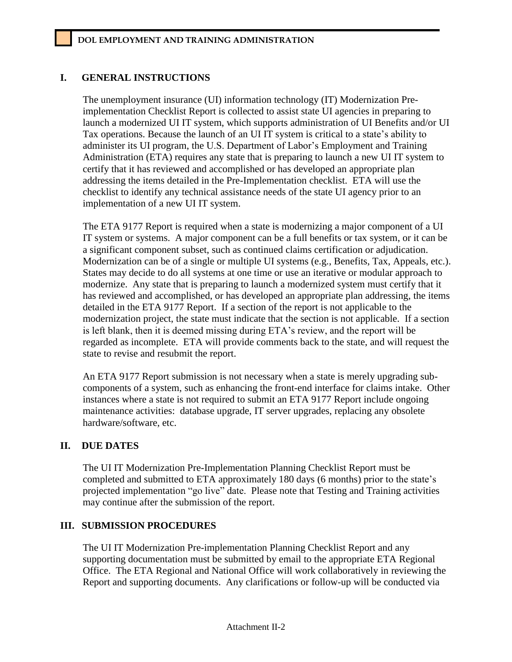### **I. GENERAL INSTRUCTIONS**

The unemployment insurance (UI) information technology (IT) Modernization Preimplementation Checklist Report is collected to assist state UI agencies in preparing to launch a modernized UI IT system, which supports administration of UI Benefits and/or UI Tax operations. Because the launch of an UI IT system is critical to a state's ability to administer its UI program, the U.S. Department of Labor's Employment and Training Administration (ETA) requires any state that is preparing to launch a new UI IT system to certify that it has reviewed and accomplished or has developed an appropriate plan addressing the items detailed in the Pre-Implementation checklist. ETA will use the checklist to identify any technical assistance needs of the state UI agency prior to an implementation of a new UI IT system.

The ETA 9177 Report is required when a state is modernizing a major component of a UI IT system or systems. A major component can be a full benefits or tax system, or it can be a significant component subset, such as continued claims certification or adjudication. Modernization can be of a single or multiple UI systems (e.g., Benefits, Tax, Appeals, etc.). States may decide to do all systems at one time or use an iterative or modular approach to modernize. Any state that is preparing to launch a modernized system must certify that it has reviewed and accomplished, or has developed an appropriate plan addressing, the items detailed in the ETA 9177 Report. If a section of the report is not applicable to the modernization project, the state must indicate that the section is not applicable. If a section is left blank, then it is deemed missing during ETA's review, and the report will be regarded as incomplete. ETA will provide comments back to the state, and will request the state to revise and resubmit the report.

An ETA 9177 Report submission is not necessary when a state is merely upgrading subcomponents of a system, such as enhancing the front-end interface for claims intake. Other instances where a state is not required to submit an ETA 9177 Report include ongoing maintenance activities: database upgrade, IT server upgrades, replacing any obsolete hardware/software, etc.

### **II. DUE DATES**

The UI IT Modernization Pre-Implementation Planning Checklist Report must be completed and submitted to ETA approximately 180 days (6 months) prior to the state's projected implementation "go live" date. Please note that Testing and Training activities may continue after the submission of the report.

### **III. SUBMISSION PROCEDURES**

The UI IT Modernization Pre-implementation Planning Checklist Report and any supporting documentation must be submitted by email to the appropriate ETA Regional Office. The ETA Regional and National Office will work collaboratively in reviewing the Report and supporting documents. Any clarifications or follow-up will be conducted via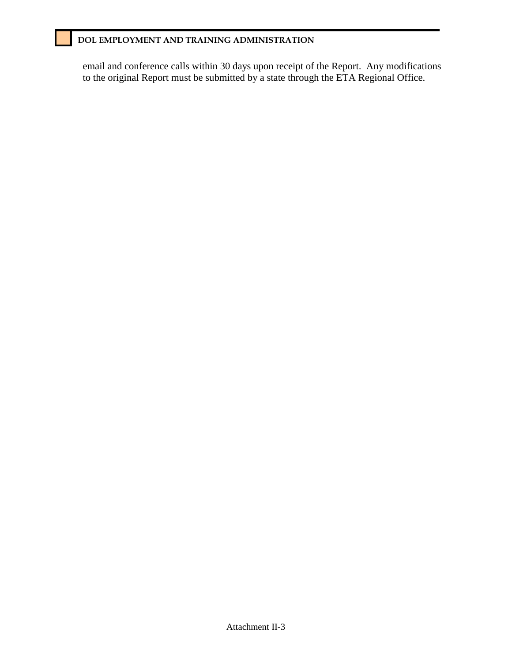### **DOL EMPLOYMENT AND TRAINING ADMINISTRATION**

email and conference calls within 30 days upon receipt of the Report. Any modifications to the original Report must be submitted by a state through the ETA Regional Office.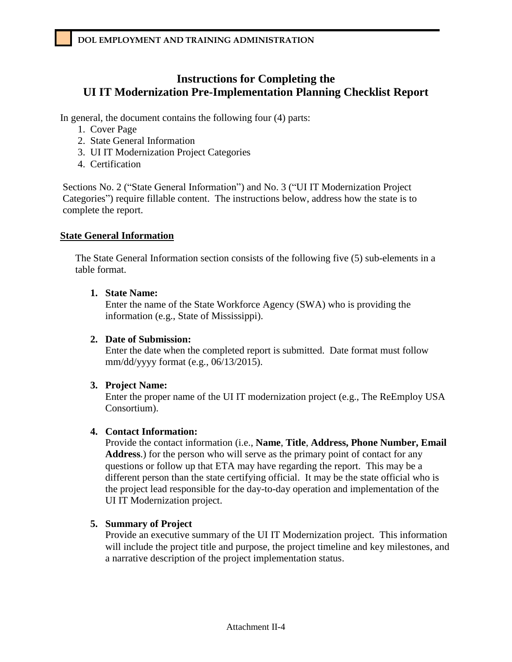## **Instructions for Completing the UI IT Modernization Pre-Implementation Planning Checklist Report**

In general, the document contains the following four (4) parts:

- 1. Cover Page
- 2. State General Information
- 3. UI IT Modernization Project Categories
- 4. Certification

Sections No. 2 ("State General Information") and No. 3 ("UI IT Modernization Project Categories") require fillable content. The instructions below, address how the state is to complete the report.

### **State General Information**

The State General Information section consists of the following five (5) sub-elements in a table format.

### **1. State Name:**

Enter the name of the State Workforce Agency (SWA) who is providing the information (e.g., State of Mississippi).

### **2. Date of Submission:**

Enter the date when the completed report is submitted. Date format must follow mm/dd/yyyy format (e.g., 06/13/2015).

### **3. Project Name:**

Enter the proper name of the UI IT modernization project (e.g., The ReEmploy USA Consortium).

### **4. Contact Information:**

Provide the contact information (i.e., **Name**, **Title**, **Address, Phone Number, Email Address**.) for the person who will serve as the primary point of contact for any questions or follow up that ETA may have regarding the report. This may be a different person than the state certifying official. It may be the state official who is the project lead responsible for the day-to-day operation and implementation of the UI IT Modernization project.

### **5. Summary of Project**

Provide an executive summary of the UI IT Modernization project. This information will include the project title and purpose, the project timeline and key milestones, and a narrative description of the project implementation status.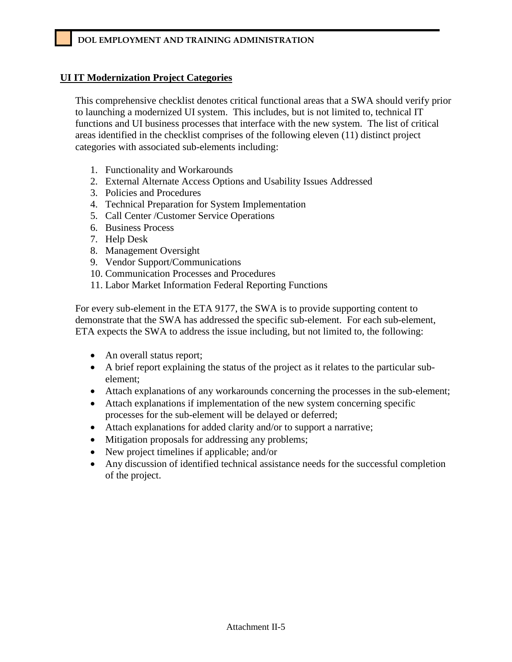### **UI IT Modernization Project Categories**

This comprehensive checklist denotes critical functional areas that a SWA should verify prior to launching a modernized UI system. This includes, but is not limited to, technical IT functions and UI business processes that interface with the new system. The list of critical areas identified in the checklist comprises of the following eleven (11) distinct project categories with associated sub-elements including:

- 1. Functionality and Workarounds
- 2. External Alternate Access Options and Usability Issues Addressed
- 3. Policies and Procedures
- 4. Technical Preparation for System Implementation
- 5. Call Center /Customer Service Operations
- 6. Business Process
- 7. Help Desk
- 8. Management Oversight
- 9. Vendor Support/Communications
- 10. Communication Processes and Procedures
- 11. Labor Market Information Federal Reporting Functions

For every sub-element in the ETA 9177, the SWA is to provide supporting content to demonstrate that the SWA has addressed the specific sub-element. For each sub-element, ETA expects the SWA to address the issue including, but not limited to, the following:

- An overall status report;
- A brief report explaining the status of the project as it relates to the particular subelement;
- Attach explanations of any workarounds concerning the processes in the sub-element;
- Attach explanations if implementation of the new system concerning specific processes for the sub-element will be delayed or deferred;
- Attach explanations for added clarity and/or to support a narrative;
- Mitigation proposals for addressing any problems;
- New project timelines if applicable; and/or
- Any discussion of identified technical assistance needs for the successful completion of the project.